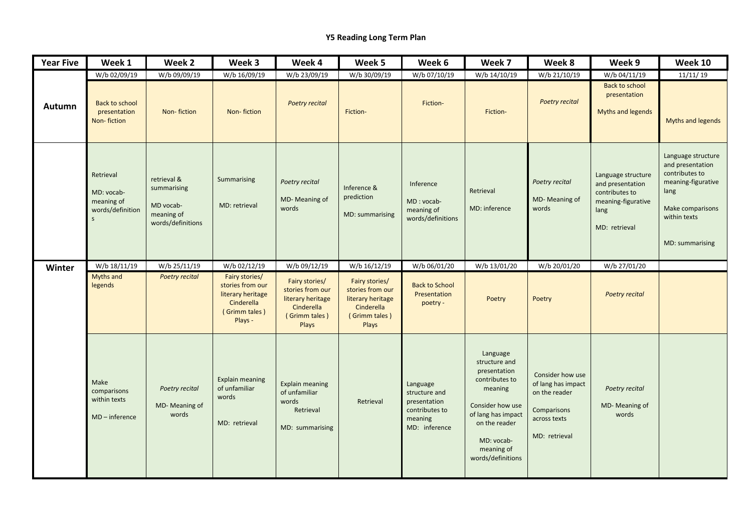## **Y5 Reading Long Term Plan**

| <b>Year Five</b> | Week 1                                                                    | Week 2                                                                     | Week 3                                                                                            | Week 4                                                                                          | Week 5                                                                                          | Week 6                                                                                  | Week 7                                                                                                                                                                             | Week 8                                                                                                  | Week 9                                                                                                  | Week 10                                                                                                                                       |
|------------------|---------------------------------------------------------------------------|----------------------------------------------------------------------------|---------------------------------------------------------------------------------------------------|-------------------------------------------------------------------------------------------------|-------------------------------------------------------------------------------------------------|-----------------------------------------------------------------------------------------|------------------------------------------------------------------------------------------------------------------------------------------------------------------------------------|---------------------------------------------------------------------------------------------------------|---------------------------------------------------------------------------------------------------------|-----------------------------------------------------------------------------------------------------------------------------------------------|
|                  | W/b 02/09/19                                                              | W/b 09/09/19                                                               | W/b 16/09/19                                                                                      | W/b 23/09/19                                                                                    | W/b 30/09/19                                                                                    | W/b 07/10/19                                                                            | W/b 14/10/19                                                                                                                                                                       | W/b 21/10/19                                                                                            | W/b 04/11/19                                                                                            | 11/11/19                                                                                                                                      |
| Autumn           | Back to school<br>presentation<br>Non-fiction                             | Non-fiction                                                                | Non-fiction                                                                                       | <b>Poetry recital</b>                                                                           | Fiction-                                                                                        | Fiction-                                                                                | Fiction-                                                                                                                                                                           | <b>Poetry recital</b>                                                                                   | <b>Back to school</b><br>presentation<br><b>Myths and legends</b>                                       | <b>Myths and legends</b>                                                                                                                      |
|                  | Retrieval<br>MD: vocab-<br>meaning of<br>words/definition<br>$\mathsf{S}$ | retrieval &<br>summarising<br>MD vocab-<br>meaning of<br>words/definitions | Summarising<br>MD: retrieval                                                                      | Poetry recital<br>MD-Meaning of<br>words                                                        | Inference &<br>prediction<br>MD: summarising                                                    | Inference<br>MD: vocab-<br>meaning of<br>words/definitions                              | Retrieval<br>MD: inference                                                                                                                                                         | Poetry recital<br>MD-Meaning of<br>words                                                                | Language structure<br>and presentation<br>contributes to<br>meaning-figurative<br>lang<br>MD: retrieval | Language structure<br>and presentation<br>contributes to<br>meaning-figurative<br>lang<br>Make comparisons<br>within texts<br>MD: summarising |
| Winter           | W/b 18/11/19                                                              | W/b 25/11/19                                                               | W/b 02/12/19                                                                                      | W/b 09/12/19                                                                                    | W/b 16/12/19                                                                                    | W/b 06/01/20                                                                            | W/b 13/01/20                                                                                                                                                                       | W/b 20/01/20                                                                                            | W/b 27/01/20                                                                                            |                                                                                                                                               |
|                  | Myths and<br>legends                                                      | Poetry recital                                                             | Fairy stories/<br>stories from our<br>literary heritage<br>Cinderella<br>(Grimm tales)<br>Plays - | Fairy stories/<br>stories from our<br>literary heritage<br>Cinderella<br>(Grimm tales)<br>Plays | Fairy stories/<br>stories from our<br>literary heritage<br>Cinderella<br>(Grimm tales)<br>Plays | <b>Back to School</b><br>Presentation<br>poetry -                                       | Poetry                                                                                                                                                                             | Poetry                                                                                                  | Poetry recital                                                                                          |                                                                                                                                               |
|                  | Make<br>comparisons<br>within texts<br>$MD - inference$                   | Poetry recital<br>MD-Meaning of<br>words                                   | <b>Explain meaning</b><br>of unfamiliar<br>words<br>MD: retrieval                                 | <b>Explain meaning</b><br>of unfamiliar<br>words<br>Retrieval<br>MD: summarising                | Retrieval                                                                                       | Language<br>structure and<br>presentation<br>contributes to<br>meaning<br>MD: inference | Language<br>structure and<br>presentation<br>contributes to<br>meaning<br>Consider how use<br>of lang has impact<br>on the reader<br>MD: vocab-<br>meaning of<br>words/definitions | Consider how use<br>of lang has impact<br>on the reader<br>Comparisons<br>across texts<br>MD: retrieval | Poetry recital<br>MD-Meaning of<br>words                                                                |                                                                                                                                               |